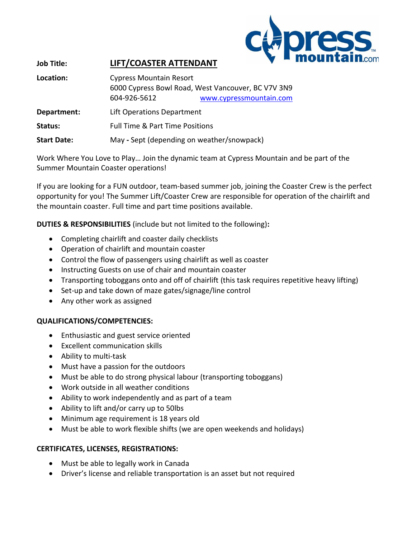

## **Job Title: LIFT/COASTER ATTENDANT**

| Location:          | <b>Cypress Mountain Resort</b><br>604-926-5612 | 6000 Cypress Bowl Road, West Vancouver, BC V7V 3N9<br>www.cypressmountain.com |
|--------------------|------------------------------------------------|-------------------------------------------------------------------------------|
| Department:        | Lift Operations Department                     |                                                                               |
| Status:            | <b>Full Time &amp; Part Time Positions</b>     |                                                                               |
| <b>Start Date:</b> | May - Sept (depending on weather/snowpack)     |                                                                               |

Work Where You Love to Play… Join the dynamic team at Cypress Mountain and be part of the Summer Mountain Coaster operations!

If you are looking for a FUN outdoor, team-based summer job, joining the Coaster Crew is the perfect opportunity for you! The Summer Lift/Coaster Crew are responsible for operation of the chairlift and the mountain coaster. Full time and part time positions available.

**DUTIES & RESPONSIBILITIES** (include but not limited to the following)**:**

- Completing chairlift and coaster daily checklists
- Operation of chairlift and mountain coaster
- Control the flow of passengers using chairlift as well as coaster
- Instructing Guests on use of chair and mountain coaster
- Transporting toboggans onto and off of chairlift (this task requires repetitive heavy lifting)
- Set-up and take down of maze gates/signage/line control
- Any other work as assigned

#### **QUALIFICATIONS/COMPETENCIES:**

- Enthusiastic and guest service oriented
- Excellent communication skills
- Ability to multi-task
- Must have a passion for the outdoors
- Must be able to do strong physical labour (transporting toboggans)
- Work outside in all weather conditions
- Ability to work independently and as part of a team
- Ability to lift and/or carry up to 50lbs
- Minimum age requirement is 18 years old
- Must be able to work flexible shifts (we are open weekends and holidays)

#### **CERTIFICATES, LICENSES, REGISTRATIONS:**

- Must be able to legally work in Canada
- Driver's license and reliable transportation is an asset but not required